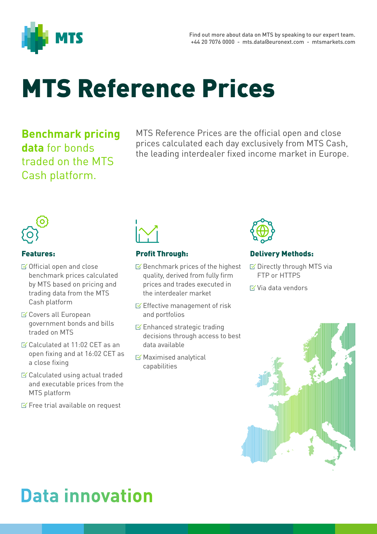

# MTS Reference Prices

**Benchmark pricing data** for bonds traded on the MTS Cash platform.

MTS Reference Prices are the official open and close prices calculated each day exclusively from MTS Cash, the leading interdealer fixed income market in Europe.



#### Features:

- $\boxtimes$  Official open and close benchmark prices calculated by MTS based on pricing and trading data from the MTS Cash platform
- **S** Covers all European government bonds and bills traded on MTS
- $\leq$  Calculated at 11:02 CET as an open fixing and at 16:02 CET as a close fixing
- $\leq$  Calculated using actual traded and executable prices from the MTS platform
- $\leq$  Free trial available on request



#### Profit Through:

- $\boxtimes$  Benchmark prices of the highest quality, derived from fully firm prices and trades executed in the interdealer market
- $\leq$  Effective management of risk and portfolios
- Enhanced strategic trading decisions through access to best data available
- $\boxtimes$  Maximised analytical capabilities



#### Delivery Methods:

- **Ø Directly through MTS via** FTP or HTTPS
- $\boxtimes$  Via data vendors



## **Data innovation**